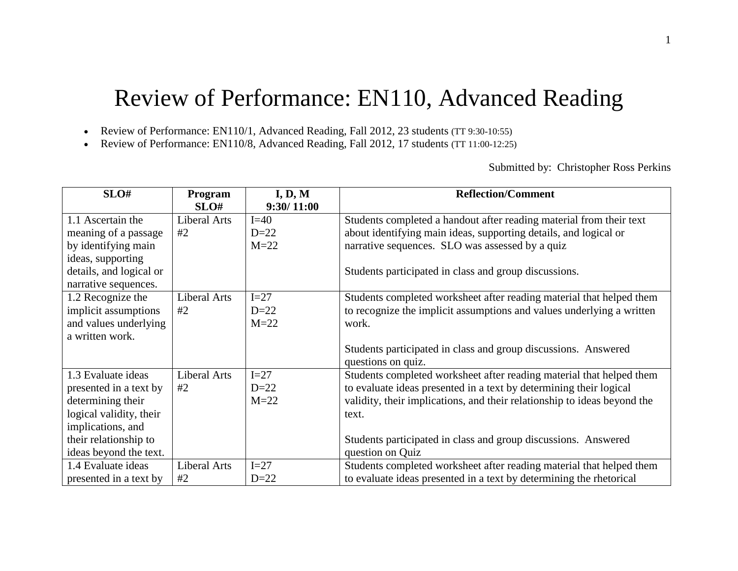# Review of Performance: EN110, Advanced Reading

Review of Performance: EN110/1, Advanced Reading, Fall 2012, 23 students (TT 9:30-10:55)

Review of Performance: EN110/8, Advanced Reading, Fall 2012, 17 students (TT 11:00-12:25)

Submitted by: Christopher Ross Perkins

| SLO#                    | Program             | I, D, M    | <b>Reflection/Comment</b>                                                |
|-------------------------|---------------------|------------|--------------------------------------------------------------------------|
|                         | SLO#                | 9:30/11:00 |                                                                          |
| 1.1 Ascertain the       | <b>Liberal Arts</b> | $I=40$     | Students completed a handout after reading material from their text      |
| meaning of a passage    | #2                  | $D=22$     | about identifying main ideas, supporting details, and logical or         |
| by identifying main     |                     | $M=22$     | narrative sequences. SLO was assessed by a quiz                          |
| ideas, supporting       |                     |            |                                                                          |
| details, and logical or |                     |            | Students participated in class and group discussions.                    |
| narrative sequences.    |                     |            |                                                                          |
| 1.2 Recognize the       | <b>Liberal Arts</b> | $I=27$     | Students completed worksheet after reading material that helped them     |
| implicit assumptions    | #2                  | $D=22$     | to recognize the implicit assumptions and values underlying a written    |
| and values underlying   |                     | $M=22$     | work.                                                                    |
| a written work.         |                     |            |                                                                          |
|                         |                     |            | Students participated in class and group discussions. Answered           |
|                         |                     |            | questions on quiz.                                                       |
| 1.3 Evaluate ideas      | <b>Liberal Arts</b> | $I=27$     | Students completed worksheet after reading material that helped them     |
| presented in a text by  | #2                  | $D=22$     | to evaluate ideas presented in a text by determining their logical       |
| determining their       |                     | $M=22$     | validity, their implications, and their relationship to ideas beyond the |
| logical validity, their |                     |            | text.                                                                    |
| implications, and       |                     |            |                                                                          |
| their relationship to   |                     |            | Students participated in class and group discussions. Answered           |
| ideas beyond the text.  |                     |            | question on Quiz                                                         |
| 1.4 Evaluate ideas      | <b>Liberal Arts</b> | $I=27$     | Students completed worksheet after reading material that helped them     |
| presented in a text by  | #2                  | $D=22$     | to evaluate ideas presented in a text by determining the rhetorical      |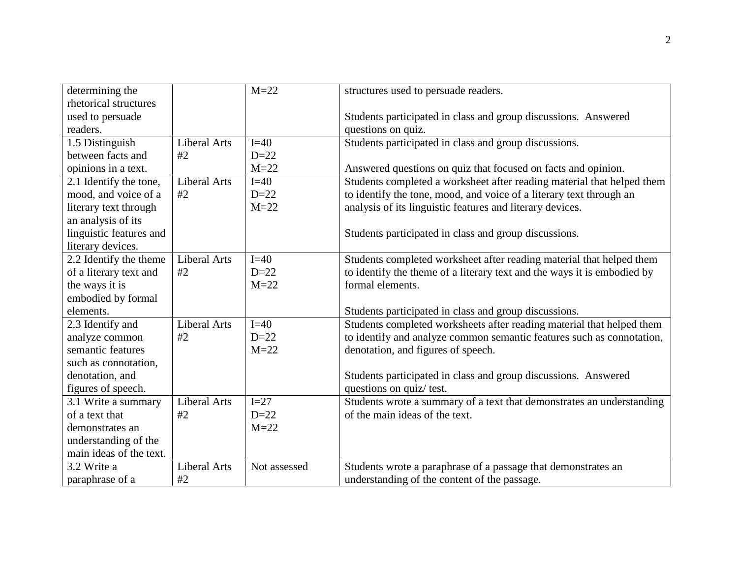| determining the         |                     | $M=22$       | structures used to persuade readers.                                    |  |  |
|-------------------------|---------------------|--------------|-------------------------------------------------------------------------|--|--|
| rhetorical structures   |                     |              |                                                                         |  |  |
| used to persuade        |                     |              | Students participated in class and group discussions. Answered          |  |  |
| readers.                |                     |              | questions on quiz.                                                      |  |  |
| 1.5 Distinguish         | <b>Liberal Arts</b> | $I=40$       | Students participated in class and group discussions.                   |  |  |
| between facts and       | #2                  | $D=22$       |                                                                         |  |  |
| opinions in a text.     |                     | $M=22$       | Answered questions on quiz that focused on facts and opinion.           |  |  |
| 2.1 Identify the tone,  | <b>Liberal Arts</b> | $I=40$       | Students completed a worksheet after reading material that helped them  |  |  |
| mood, and voice of a    | #2                  | $D=22$       | to identify the tone, mood, and voice of a literary text through an     |  |  |
| literary text through   |                     | $M=22$       | analysis of its linguistic features and literary devices.               |  |  |
| an analysis of its      |                     |              |                                                                         |  |  |
| linguistic features and |                     |              | Students participated in class and group discussions.                   |  |  |
| literary devices.       |                     |              |                                                                         |  |  |
| 2.2 Identify the theme  | <b>Liberal Arts</b> | $I=40$       | Students completed worksheet after reading material that helped them    |  |  |
| of a literary text and  | #2                  | $D=22$       | to identify the theme of a literary text and the ways it is embodied by |  |  |
| the ways it is          |                     | $M=22$       | formal elements.                                                        |  |  |
| embodied by formal      |                     |              |                                                                         |  |  |
| elements.               |                     |              | Students participated in class and group discussions.                   |  |  |
| 2.3 Identify and        | <b>Liberal Arts</b> | $I=40$       | Students completed worksheets after reading material that helped them   |  |  |
| analyze common          | #2                  | $D=22$       | to identify and analyze common semantic features such as connotation,   |  |  |
| semantic features       |                     | $M=22$       | denotation, and figures of speech.                                      |  |  |
| such as connotation,    |                     |              |                                                                         |  |  |
| denotation, and         |                     |              | Students participated in class and group discussions. Answered          |  |  |
| figures of speech.      |                     |              | questions on quiz/ test.                                                |  |  |
| 3.1 Write a summary     | <b>Liberal Arts</b> | $I=27$       | Students wrote a summary of a text that demonstrates an understanding   |  |  |
| of a text that          | #2                  | $D=22$       | of the main ideas of the text.                                          |  |  |
| demonstrates an         |                     | $M=22$       |                                                                         |  |  |
| understanding of the    |                     |              |                                                                         |  |  |
| main ideas of the text. |                     |              |                                                                         |  |  |
| 3.2 Write a             | <b>Liberal Arts</b> | Not assessed | Students wrote a paraphrase of a passage that demonstrates an           |  |  |
| paraphrase of a         | #2                  |              | understanding of the content of the passage.                            |  |  |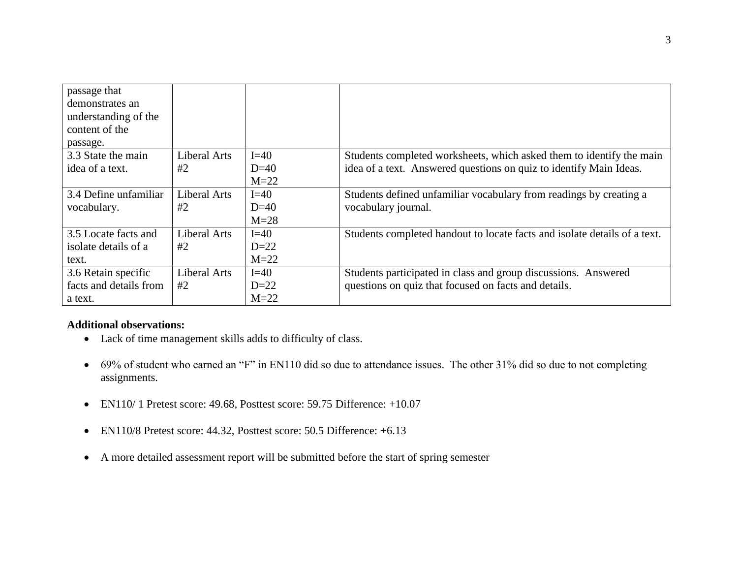| passage that           |                     |        |                                                                           |
|------------------------|---------------------|--------|---------------------------------------------------------------------------|
| demonstrates an        |                     |        |                                                                           |
| understanding of the   |                     |        |                                                                           |
| content of the         |                     |        |                                                                           |
| passage.               |                     |        |                                                                           |
| 3.3 State the main     | <b>Liberal Arts</b> | $I=40$ | Students completed worksheets, which asked them to identify the main      |
| idea of a text.        | #2                  | $D=40$ | idea of a text. Answered questions on quiz to identify Main Ideas.        |
|                        |                     | $M=22$ |                                                                           |
| 3.4 Define unfamiliar  | Liberal Arts        | $I=40$ | Students defined unfamiliar vocabulary from readings by creating a        |
| vocabulary.            | #2                  | $D=40$ | vocabulary journal.                                                       |
|                        |                     | $M=28$ |                                                                           |
| 3.5 Locate facts and   | <b>Liberal Arts</b> | $I=40$ | Students completed handout to locate facts and isolate details of a text. |
| isolate details of a   | #2                  | $D=22$ |                                                                           |
| text.                  |                     | $M=22$ |                                                                           |
| 3.6 Retain specific    | <b>Liberal Arts</b> | $I=40$ | Students participated in class and group discussions. Answered            |
| facts and details from | #2                  | $D=22$ | questions on quiz that focused on facts and details.                      |
| a text.                |                     | $M=22$ |                                                                           |

# **Additional observations:**

- Lack of time management skills adds to difficulty of class.
- 69% of student who earned an "F" in EN110 did so due to attendance issues. The other 31% did so due to not completing assignments.
- EN110/ 1 Pretest score: 49.68, Posttest score: 59.75 Difference: +10.07
- EN110/8 Pretest score: 44.32, Posttest score: 50.5 Difference: +6.13
- A more detailed assessment report will be submitted before the start of spring semester